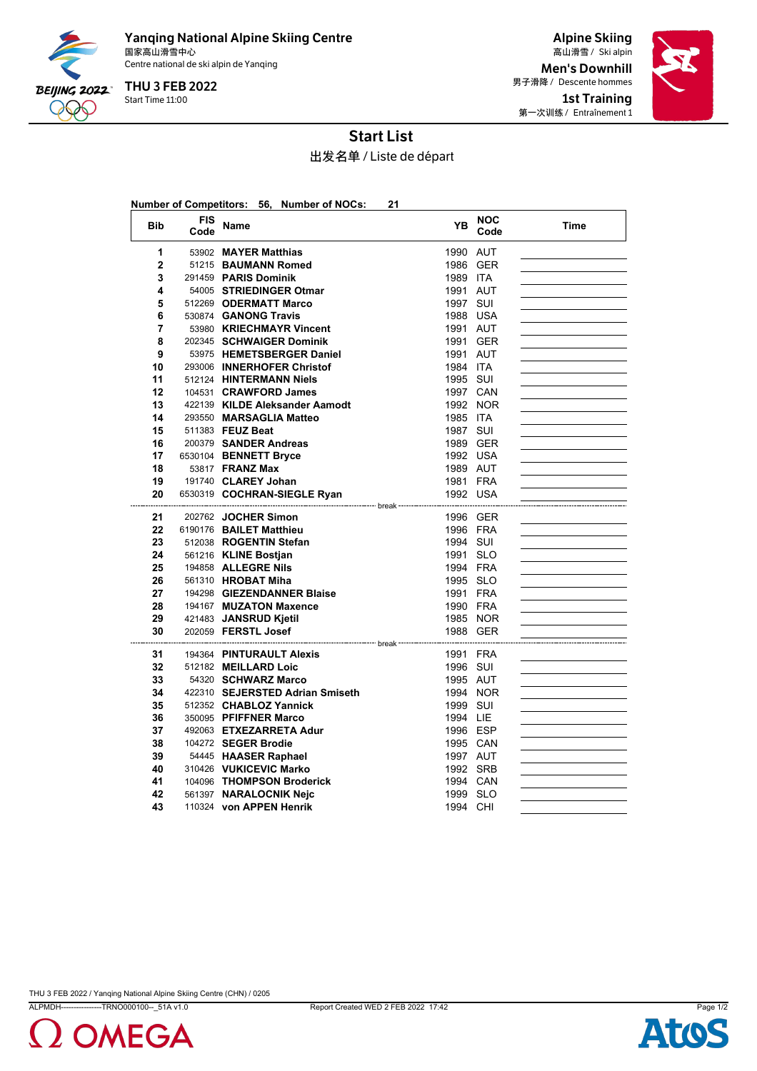

Yanqing National Alpine Skiing Centre 国家高山滑雪中心 Ski alpin 高山滑雪 / Centre national de ski alpin de Yanqing

Start Time 11:00 THU 3 FEB 2022

Alpine Skiing Men's Downhill 男子滑降 / Descente hommes 1st Training 第一次训练 / Entraînement 1



## Start List

出发名单 / Liste de départ

|              |                    | Number of Competitors: 56, Number of NOCs:                                | 21                   |                    |      |
|--------------|--------------------|---------------------------------------------------------------------------|----------------------|--------------------|------|
| <b>Bib</b>   | <b>FIS</b><br>Code | Name                                                                      | YB                   | <b>NOC</b><br>Code | Time |
| 1            |                    | 53902 MAYER Matthias                                                      | 1990 AUT             |                    |      |
| $\mathbf{2}$ |                    | 51215 BAUMANN Romed                                                       | 1986 GER             |                    |      |
| 3            |                    | 291459 PARIS Dominik                                                      | 1989 ITA             |                    |      |
| 4            |                    | 54005 STRIEDINGER Otmar                                                   | 1991 AUT             |                    |      |
| 5            |                    | 512269 ODERMATT Marco                                                     | 1997 SUI             |                    |      |
| 6            |                    | 530874 GANONG Travis                                                      | 1988 USA             |                    |      |
| 7            |                    | 53980 KRIECHMAYR Vincent                                                  | 1991 AUT             |                    |      |
| 8            |                    | 202345 SCHWAIGER Dominik                                                  | 1991 GER             |                    |      |
| 9            |                    | 53975 HEMETSBERGER Daniel                                                 | 1991 AUT             |                    |      |
| 10           |                    | 293006 INNERHOFER Christof                                                | 1984 ITA             |                    |      |
| 11           |                    | 512124 HINTERMANN Niels                                                   | 1995 SUI             |                    |      |
| 12           |                    | 104531 CRAWFORD James                                                     | 1997 CAN             |                    |      |
| 13           |                    | 422139 KILDE Aleksander Aamodt                                            |                      | 1992 NOR           |      |
| 14           |                    | 293550 MARSAGLIA Matteo                                                   | 1985 ITA             |                    |      |
| 15           |                    | 511383 FEUZ Beat                                                          | 1987 SUI             |                    |      |
| 16           |                    | 200379 SANDER Andreas                                                     | 1989 GER             |                    |      |
| 17           |                    | 6530104 BENNETT Bryce                                                     | 1992 USA             |                    |      |
| 18           |                    | 53817 <b>FRANZ Max</b>                                                    | 1989 AUT             |                    |      |
| 19           |                    | 191740 CLAREY Johan                                                       | 1981 FRA             |                    |      |
| 20           |                    | 6530319 COCHRAN-SIEGLE Ryan                                               | 1992 USA             |                    |      |
| 21           |                    | ------------------------------ break -------------<br>202762 JOCHER Simon |                      |                    |      |
| 22           |                    | 6190176 BAILET Matthieu                                                   | 1996 GER<br>1996 FRA |                    |      |
| 23           |                    | 512038 ROGENTIN Stefan                                                    | 1994 SUI             |                    |      |
| 24           |                    | 561216 KLINE Bostjan                                                      | 1991 SLO             |                    |      |
| 25           |                    | 194858 ALLEGRE Nils                                                       | 1994 FRA             |                    |      |
| 26           |                    | 561310 HROBAT Miha                                                        | 1995 SLO             |                    |      |
| 27           |                    | 194298 GIEZENDANNER Blaise                                                | 1991 FRA             |                    |      |
| 28           |                    | 194167 MUZATON Maxence                                                    | 1990 FRA             |                    |      |
| 29           |                    | 421483 JANSRUD Kjetil                                                     |                      | 1985 NOR           |      |
| 30           |                    | 202059 FERSTL Josef                                                       | 1988 GER             |                    |      |
| --------     |                    |                                                                           |                      |                    |      |
| 31           |                    | 194364 PINTURAULT Alexis                                                  | 1991 FRA             |                    |      |
| 32           |                    | 512182 MEILLARD Loic                                                      | 1996 SUI             |                    |      |
| 33           |                    | 54320 SCHWARZ Marco                                                       | 1995 AUT             |                    |      |
| 34           |                    | 422310 SEJERSTED Adrian Smiseth                                           |                      | 1994 NOR           |      |
| 35           |                    | 512352 CHABLOZ Yannick                                                    | 1999 SUI             |                    |      |
| 36           |                    | 350095 PFIFFNER Marco                                                     | 1994 LIE             |                    |      |
| 37           |                    | 492063 ETXEZARRETA Adur                                                   | 1996 ESP             |                    |      |
| 38           |                    | 104272 SEGER Brodie                                                       | 1995 CAN             |                    |      |
| 39           |                    | 54445 HAASER Raphael                                                      | 1997 AUT             |                    |      |
| 40           |                    | 310426 VUKICEVIC Marko                                                    | 1992 SRB             |                    |      |
| 41           |                    | 104096 THOMPSON Broderick                                                 | 1994 CAN             |                    |      |
| 42           |                    | 561397 NARALOCNIK Nejc                                                    | 1999 SLO             |                    |      |
| 43           |                    | 110324 von APPEN Henrik                                                   | 1994 CHI             |                    |      |

THU 3 FEB 2022 / Yanqing National Alpine Skiing Centre (CHN) / 0205

ALPMDH----------------TRNO000100--\_51A v1.0 Report Created WED 2 FEB 2022 17:42 Page 1/2